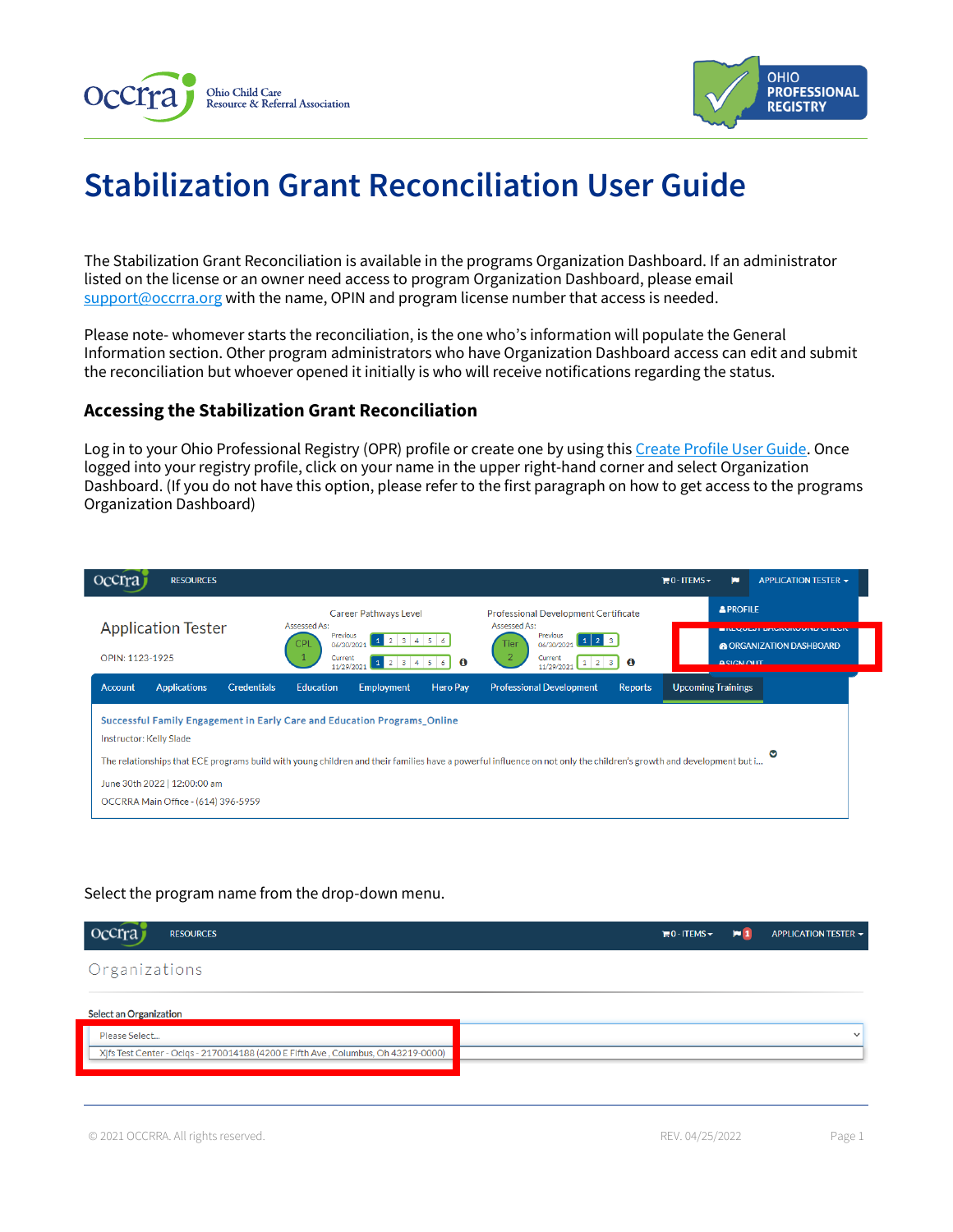



# **Stabilization Grant Reconciliation User Guide**

The Stabilization Grant Reconciliation is available in the programs Organization Dashboard. If an administrator listed on the license or an owner need access to program Organization Dashboard, please email [support@occrra.org](mailto:support@occrra.org) with the name, OPIN and program license number that access is needed.

Please note- whomever starts the reconciliation, is the one who's information will populate the General Information section. Other program administrators who have Organization Dashboard access can edit and submit the reconciliation but whoever opened it initially is who will receive notifications regarding the status.

# **Accessing the Stabilization Grant Reconciliation**

Log in to your Ohio Professional Registry (OPR) profile or create one by using thi[s Create Profile User Guide.](chrome-extension://efaidnbmnnnibpcajpcglclefindmkaj/viewer.html?pdfurl=https%3A%2F%2Fd2hfgw7vtnz2tl.cloudfront.net%2Fwp-content%2Fuploads%2F2021%2F08%2Fopr-create-profile-user-guide.pdf&chunk=true) Once logged into your registry profile, click on your name in the upper right-hand corner and select Organization Dashboard. (If you do not have this option, please refer to the first paragraph on how to get access to the programs Organization Dashboard)

| <b>Occrra</b><br><b>RESOURCES</b>                                                                                                                             |                                                                                                                                                                                                                                                                                                            |                                                                                                                                                                                                                                       | $\mathbb{H}$ 0 - ITEMS $\sim$<br>ю    | APPLICATION TESTER -                                                       |
|---------------------------------------------------------------------------------------------------------------------------------------------------------------|------------------------------------------------------------------------------------------------------------------------------------------------------------------------------------------------------------------------------------------------------------------------------------------------------------|---------------------------------------------------------------------------------------------------------------------------------------------------------------------------------------------------------------------------------------|---------------------------------------|----------------------------------------------------------------------------|
| <b>Application Tester</b><br>OPIN: 1123-1925                                                                                                                  | Career Pathways Level<br>Assessed As:<br>Previous<br>123456<br>CPL<br>06/30/2021<br>Current<br>1 2 3 4 5 6 0<br>11/29/2021                                                                                                                                                                                 | Professional Development Certificate<br>Assessed As:<br>Previous<br>$\begin{array}{ c c c c c }\n\hline\n1 & 2 & 3\n\end{array}$<br>Tier<br>06/30/2021<br>$\overline{2}$<br>Current<br>$1 \quad 2 \quad 3$<br>$\bullet$<br>11/29/2021 | <b>APROFILE</b><br><b>A SIGN OLIT</b> | <b>EINLYVLJI DAVINUNVUTU VIILVI</b><br><b>&amp; ORGANIZATION DASHBOARD</b> |
| <b>Applications</b><br><b>Account</b><br><b>Credentials</b><br>Instructor: Kelly Slade<br>June 30th 2022   12:00:00 am<br>OCCRRA Main Office - (614) 396-5959 | <b>Hero Pav</b><br><b>Education</b><br><b>Employment</b><br>Successful Family Engagement in Early Care and Education Programs_Online<br>The relationships that ECE programs build with young children and their families have a powerful influence on not only the children's growth and development but i | <b>Professional Development</b><br><b>Reports</b>                                                                                                                                                                                     | <b>Upcoming Trainings</b>             |                                                                            |

## Select the program name from the drop-down menu.

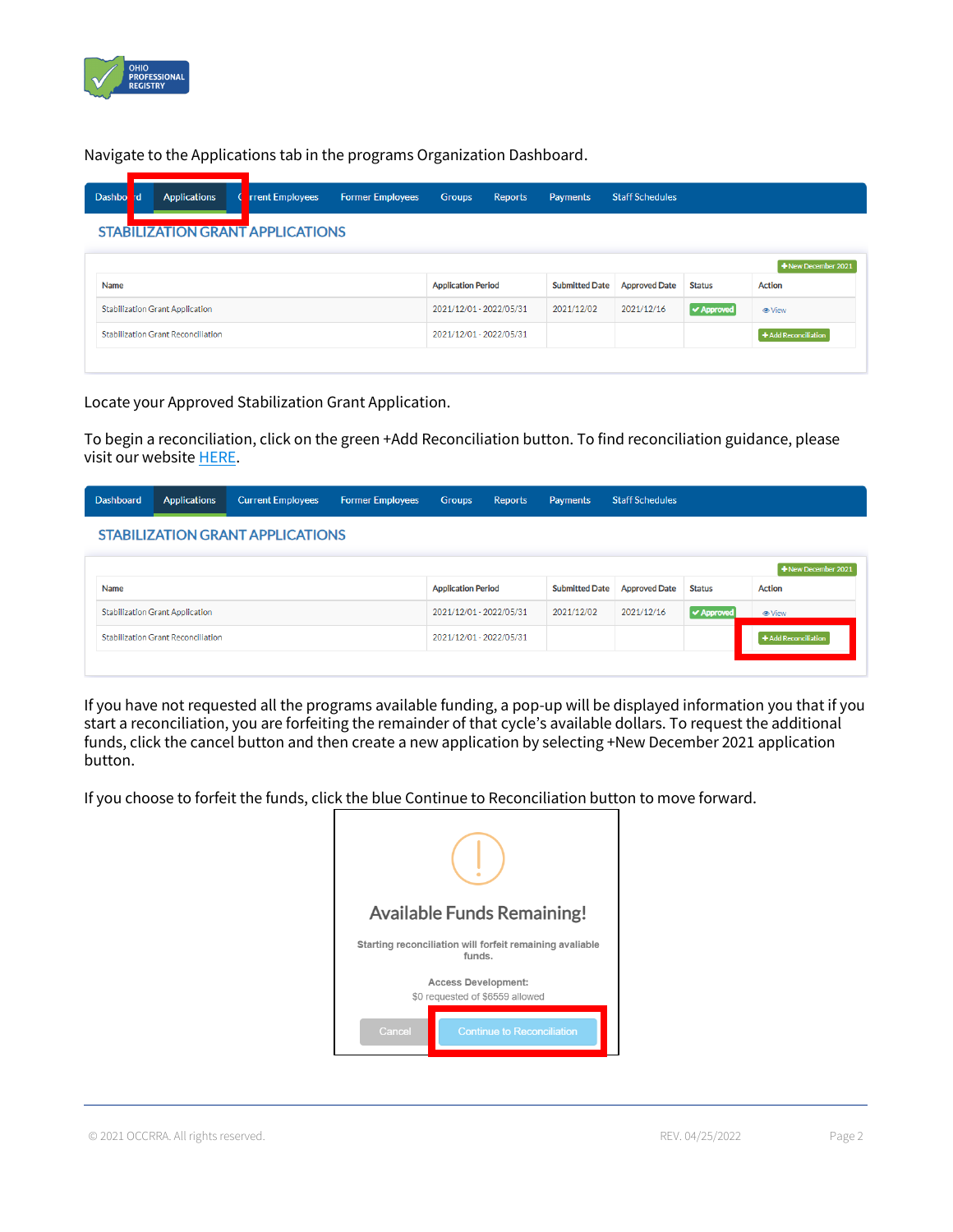

Navigate to the Applications tab in the programs Organization Dashboard.

| Dashbo | hd | <b>Applications</b>                       | <b>rrent Employees</b>                  | <b>Former Employees</b> | <b>Groups</b>             | <b>Reports</b> | <b>Payments</b>       | <b>Staff Schedules</b> |               |                      |
|--------|----|-------------------------------------------|-----------------------------------------|-------------------------|---------------------------|----------------|-----------------------|------------------------|---------------|----------------------|
|        |    |                                           | <b>STABILIZATION GRANT APPLICATIONS</b> |                         |                           |                |                       |                        |               |                      |
|        |    |                                           |                                         |                         |                           |                |                       |                        |               | +New December 2021   |
| Name   |    |                                           |                                         |                         | <b>Application Period</b> |                | <b>Submitted Date</b> | <b>Approved Date</b>   | <b>Status</b> | <b>Action</b>        |
|        |    | <b>Stabilization Grant Application</b>    |                                         |                         | 2021/12/01 - 2022/05/31   |                | 2021/12/02            | 2021/12/16             | √ Approved    | <b>⊕</b> View        |
|        |    | <b>Stabilization Grant Reconciliation</b> |                                         |                         | 2021/12/01 - 2022/05/31   |                |                       |                        |               | + Add Reconciliation |
|        |    |                                           |                                         |                         |                           |                |                       |                        |               |                      |

Locate your Approved Stabilization Grant Application.

To begin a reconciliation, click on the green +Add Reconciliation button. To find reconciliation guidance, please visit our websit[e HERE.](https://occrra.org/ohio-professional-registry/one-time-pandemic-payment-2/)

#### **Staff Schedules** Dashboard Groups Applications **Current Employees Former Employees** Reports Payments **STABILIZATION GRANT APPLICATIONS**

| Name                                      | <b>Application Period</b> |            | Submitted Date Approved Date | <b>Status</b>     | $\pm$ New December 2021<br><b>Action</b> |
|-------------------------------------------|---------------------------|------------|------------------------------|-------------------|------------------------------------------|
| <b>Stabilization Grant Application</b>    | 2021/12/01 - 2022/05/31   | 2021/12/02 | 2021/12/16                   | <b>√ Approved</b> | <b>⊕</b> View                            |
| <b>Stabilization Grant Reconciliation</b> | 2021/12/01 - 2022/05/31   |            |                              |                   | + Add Reconciliation                     |
|                                           |                           |            |                              |                   |                                          |

If you have not requested all the programs available funding, a pop-up will be displayed information you that if you start a reconciliation, you are forfeiting the remainder of that cycle's available dollars. To request the additional funds, click the cancel button and then create a new application by selecting +New December 2021 application button.

If you choose to forfeit the funds, click the blue Continue to Reconciliation button to move forward.

| <b>Available Funds Remaining!</b>                                  |                                                               |  |  |  |
|--------------------------------------------------------------------|---------------------------------------------------------------|--|--|--|
| Starting reconciliation will forfeit remaining avaliable<br>funds. |                                                               |  |  |  |
|                                                                    | <b>Access Development:</b><br>\$0 requested of \$6559 allowed |  |  |  |
| Cancel                                                             | <b>Continue to Reconciliation</b>                             |  |  |  |

© 2021 OCCRRA. All rights reserved. REV. 04/25/2022 Page 2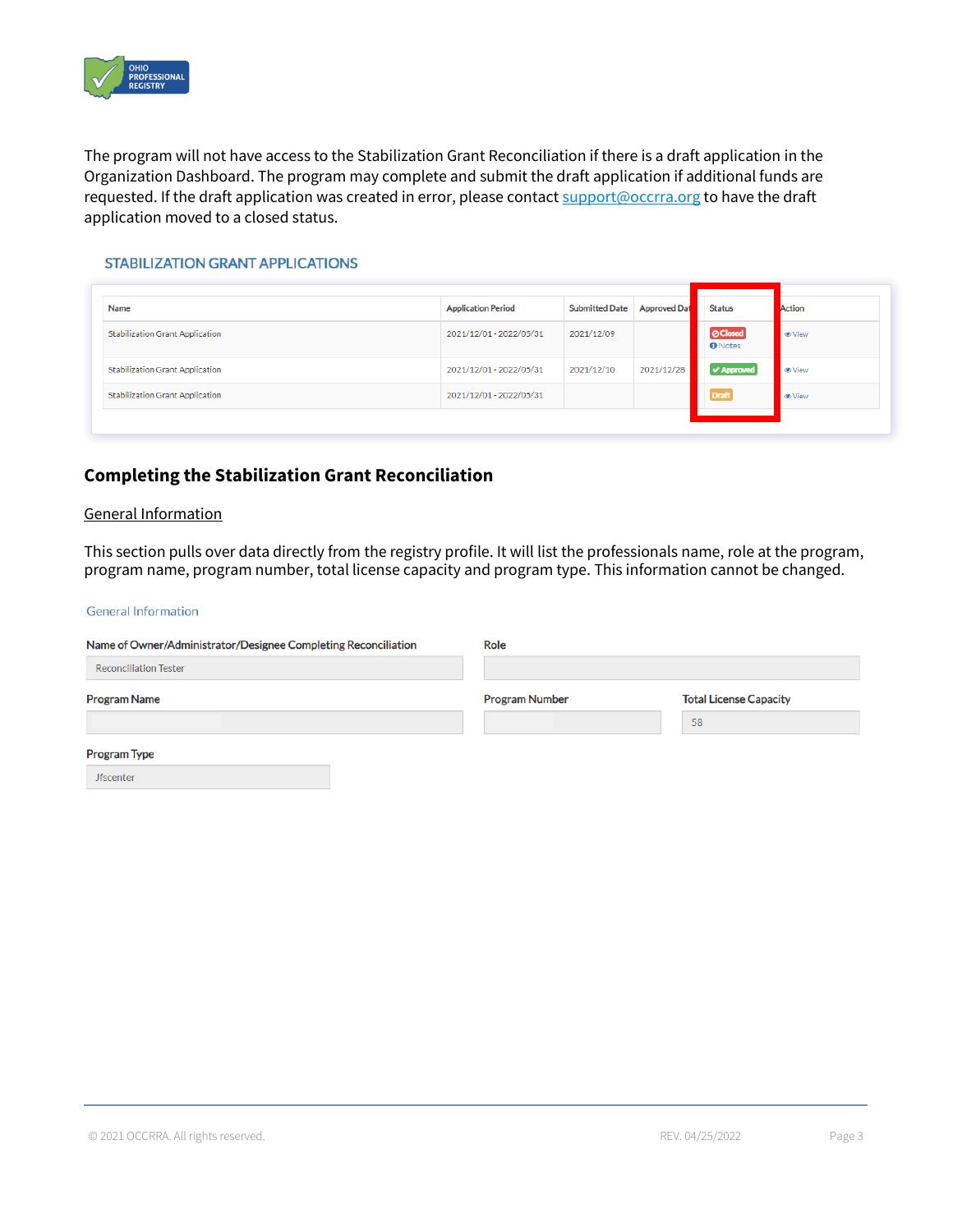

The program will not have access to the Stabilization Grant Reconciliation if there is a draft application in the Organization Dashboard. The program may complete and submit the draft application if additional funds are requested. If the draft application was created in error, please contac[t support@occrra.org](mailto:support@occrra.org) to have the draft application moved to a closed status.

#### **STABILIZATION GRANT APPLICATIONS**

| Name                                   | <b>Application Period</b> | <b>Submitted Date</b> | <b>Approved Dat</b> | <b>Status</b>                     | Action               |
|----------------------------------------|---------------------------|-----------------------|---------------------|-----------------------------------|----------------------|
| <b>Stabilization Grant Application</b> | 2021/12/01 - 2022/05/31   | 2021/12/09            |                     | <b>O</b> Closed<br><b>O</b> Notes | <b>O</b> View        |
| <b>Stabilization Grant Application</b> | 2021/12/01 - 2022/05/31   | 2021/12/10            | 2021/12/28          | $\blacktriangleright$ Approved    | <b><i>O</i></b> View |
| <b>Stabilization Grant Application</b> | 2021/12/01 - 2022/05/31   |                       |                     | <b>Draft</b>                      | <b><i>S</i></b> View |
|                                        |                           |                       |                     |                                   |                      |

# **Completing the Stabilization Grant Reconciliation**

#### General Information

This section pulls over data directly from the registry profile. It will list the professionals name, role at the program, program name, program number, total license capacity and program type. This information cannot be changed.

#### **General Information**

| Name of Owner/Administrator/Designee Completing Reconciliation | Role                  |                               |  |  |  |
|----------------------------------------------------------------|-----------------------|-------------------------------|--|--|--|
| <b>Reconciliation Tester</b>                                   |                       |                               |  |  |  |
| <b>Program Name</b>                                            | <b>Program Number</b> | <b>Total License Capacity</b> |  |  |  |
|                                                                |                       | 58                            |  |  |  |
| <b>Program Type</b>                                            |                       |                               |  |  |  |
| <b>Jfscenter</b>                                               |                       |                               |  |  |  |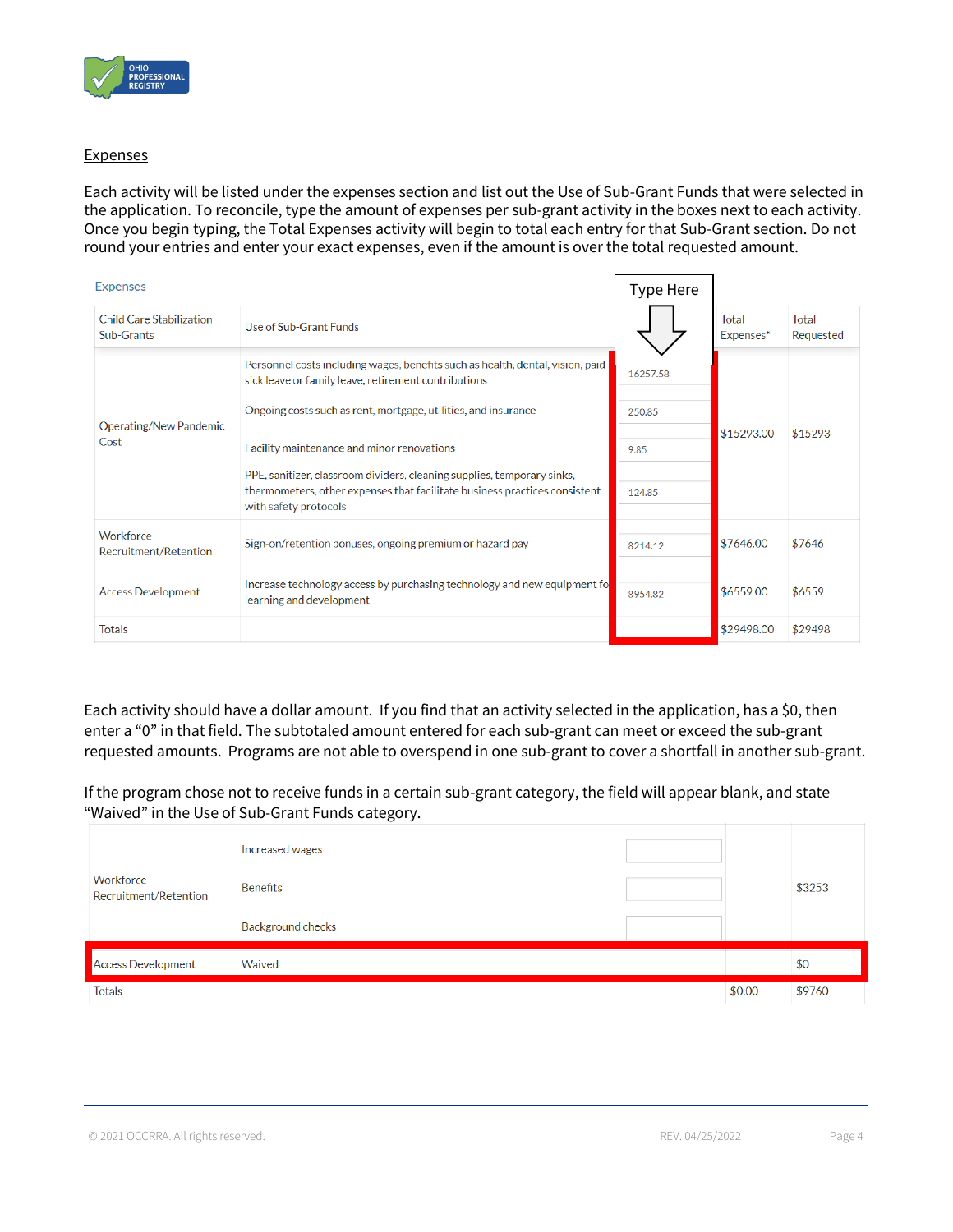

### **Expenses**

Each activity will be listed under the expenses section and list out the Use of Sub-Grant Funds that were selected in the application. To reconcile, type the amount of expenses per sub-grant activity in the boxes next to each activity. Once you begin typing, the Total Expenses activity will begin to total each entry for that Sub-Grant section. Do not round your entries and enter your exact expenses, even if the amount is over the total requested amount.

| <b>Expenses</b>                        |                                                                                                                                                                                | Type Here |                    |                    |
|----------------------------------------|--------------------------------------------------------------------------------------------------------------------------------------------------------------------------------|-----------|--------------------|--------------------|
| Child Care Stabilization<br>Sub-Grants | Use of Sub-Grant Funds                                                                                                                                                         |           | Total<br>Expenses* | Total<br>Requested |
|                                        | Personnel costs including wages, benefits such as health, dental, vision, paid<br>sick leave or family leave, retirement contributions                                         | 16257.58  |                    |                    |
| Operating/New Pandemic<br>Cost         | Ongoing costs such as rent, mortgage, utilities, and insurance                                                                                                                 | 250.85    |                    |                    |
|                                        | Facility maintenance and minor renovations                                                                                                                                     | 9.85      | \$15293.00         | \$15293            |
|                                        | PPE, sanitizer, classroom dividers, cleaning supplies, temporary sinks,<br>thermometers, other expenses that facilitate business practices consistent<br>with safety protocols | 124.85    |                    |                    |
| Workforce<br>Recruitment/Retention     | Sign-on/retention bonuses, ongoing premium or hazard pay                                                                                                                       | 8214.12   | \$7646.00          | \$7646             |
| <b>Access Development</b>              | Increase technology access by purchasing technology and new equipment fo<br>learning and development                                                                           | 8954.82   | \$6559.00          | \$6559             |
| <b>Totals</b>                          |                                                                                                                                                                                |           | \$29498.00         | \$29498            |

Each activity should have a dollar amount. If you find that an activity selected in the application, has a \$0, then enter a "0" in that field. The subtotaled amount entered for each sub-grant can meet or exceed the sub-grant requested amounts. Programs are not able to overspend in one sub-grant to cover a shortfall in another sub-grant.

If the program chose not to receive funds in a certain sub-grant category, the field will appear blank, and state "Waived" in the Use of Sub-Grant Funds category.

|                                    | Increased wages          |        |        |
|------------------------------------|--------------------------|--------|--------|
| Workforce<br>Recruitment/Retention | <b>Benefits</b>          |        | \$3253 |
|                                    | <b>Background checks</b> |        |        |
| <b>Access Development</b>          | Waived                   |        | \$0    |
| <b>Totals</b>                      |                          | \$0.00 | \$9760 |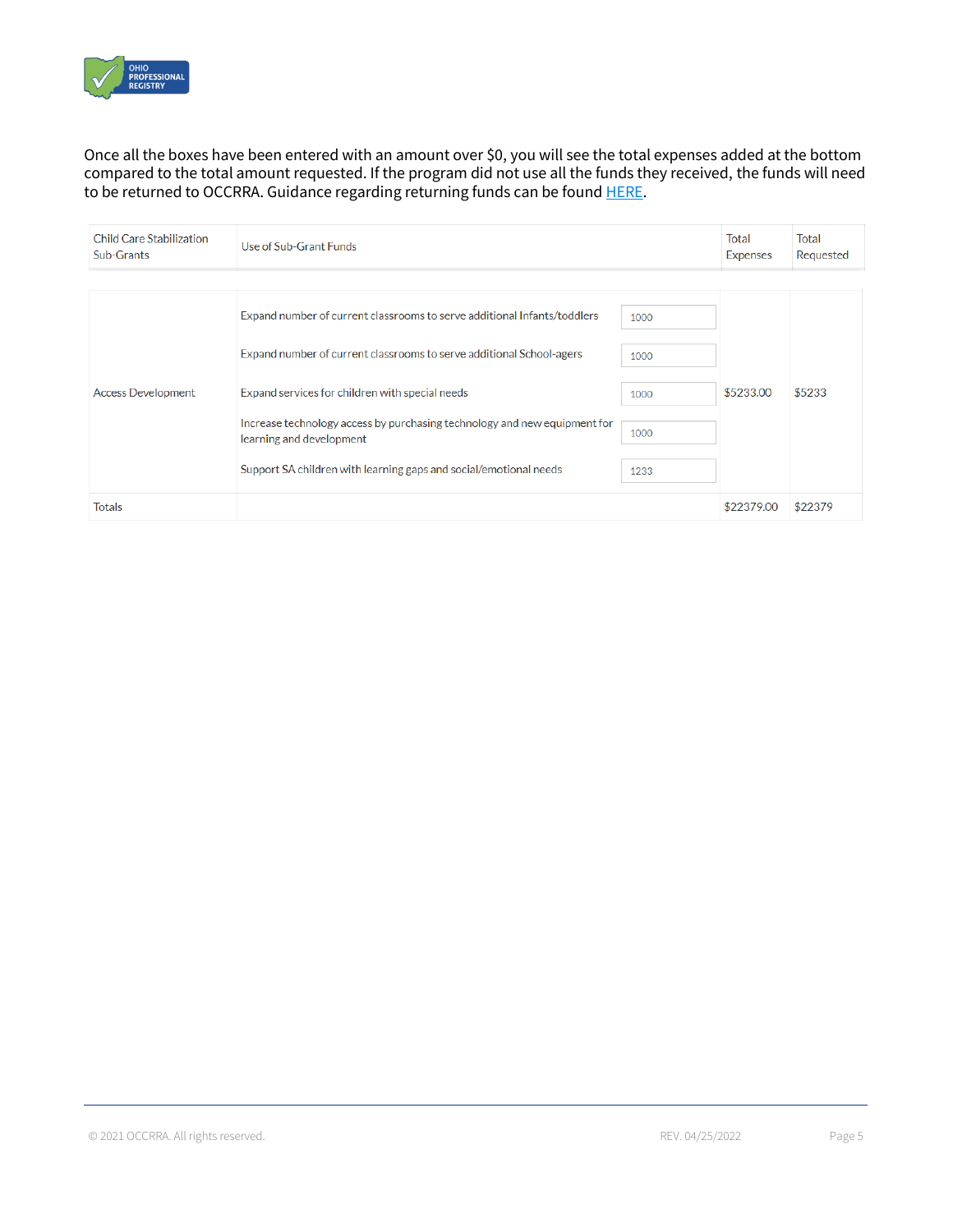

### Once all the boxes have been entered with an amount over \$0, you will see the total expenses added at the bottom compared to the total amount requested. If the program did not use all the funds they received, the funds will need to be returned to OCCRRA. Guidance regarding returning funds can be foun[d HERE.](https://occrra.org/ohio-professional-registry/one-time-pandemic-payment-2/)

| <b>Child Care Stabilization</b><br>Use of Sub-Grant Funds<br>Sub-Grants |                                                                                                                                                                                                                                                                                                                                                                                   |                                      | Total<br><b>Expenses</b> | Total<br>Requested |
|-------------------------------------------------------------------------|-----------------------------------------------------------------------------------------------------------------------------------------------------------------------------------------------------------------------------------------------------------------------------------------------------------------------------------------------------------------------------------|--------------------------------------|--------------------------|--------------------|
| <b>Access Development</b>                                               | Expand number of current classrooms to serve additional Infants/toddlers<br>Expand number of current classrooms to serve additional School-agers<br>Expand services for children with special needs<br>Increase technology access by purchasing technology and new equipment for<br>learning and development<br>Support SA children with learning gaps and social/emotional needs | 1000<br>1000<br>1000<br>1000<br>1233 | \$5233.00                | \$5233             |
| <b>Totals</b>                                                           |                                                                                                                                                                                                                                                                                                                                                                                   |                                      | \$22379.00               | \$22379            |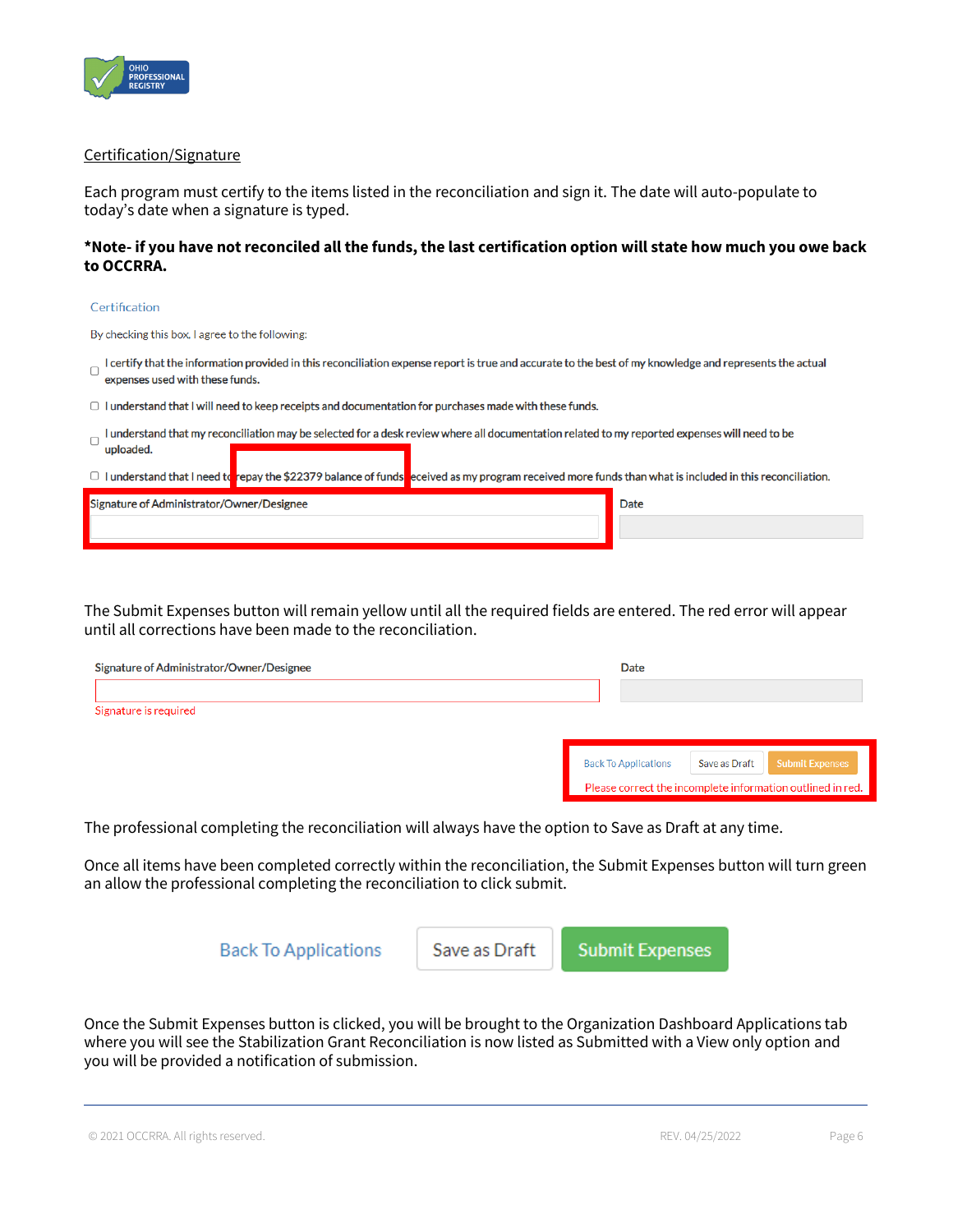

#### Certification/Signature

Each program must certify to the items listed in the reconciliation and sign it. The date will auto-populate to today's date when a signature is typed.

### **\*Note- if you have not reconciled all the funds, the last certification option will state how much you owe back to OCCRRA.**

#### Certification

By checking this box, I agree to the following:

- I certify that the information provided in this reconciliation expense report is true and accurate to the best of my knowledge and represents the actual expenses used with these funds.
- $\Box$  I understand that I will need to keep receipts and documentation for purchases made with these funds.
- I understand that my reconciliation may be selected for a desk review where all documentation related to my reported expenses will need to be uploaded.

|  |  | $\Box$ I understand that I need to repay the \$22379 balance of funds eceived as my program received more funds than what is included in this reconciliation. |
|--|--|---------------------------------------------------------------------------------------------------------------------------------------------------------------|
|--|--|---------------------------------------------------------------------------------------------------------------------------------------------------------------|

| J. Administrator/Owner/Designee<br>Sign<br>Date |  |
|-------------------------------------------------|--|
|                                                 |  |

The Submit Expenses button will remain yellow until all the required fields are entered. The red error will appear until all corrections have been made to the reconciliation.

| Signature of Administrator/Owner/Designee | Date                        |               |                                                            |
|-------------------------------------------|-----------------------------|---------------|------------------------------------------------------------|
|                                           |                             |               |                                                            |
| Signature is required                     |                             |               |                                                            |
|                                           |                             |               |                                                            |
|                                           | <b>Back To Applications</b> | Save as Draft | <b>Submit Expenses</b>                                     |
|                                           |                             |               | Please correct the incomplete information outlined in red. |

The professional completing the reconciliation will always have the option to Save as Draft at any time.

Once all items have been completed correctly within the reconciliation, the Submit Expenses button will turn green an allow the professional completing the reconciliation to click submit.



Once the Submit Expenses button is clicked, you will be brought to the Organization Dashboard Applications tab where you will see the Stabilization Grant Reconciliation is now listed as Submitted with a View only option and you will be provided a notification of submission.

© 2021 OCCRRA. All rights reserved. REV. 04/25/2022 Page 6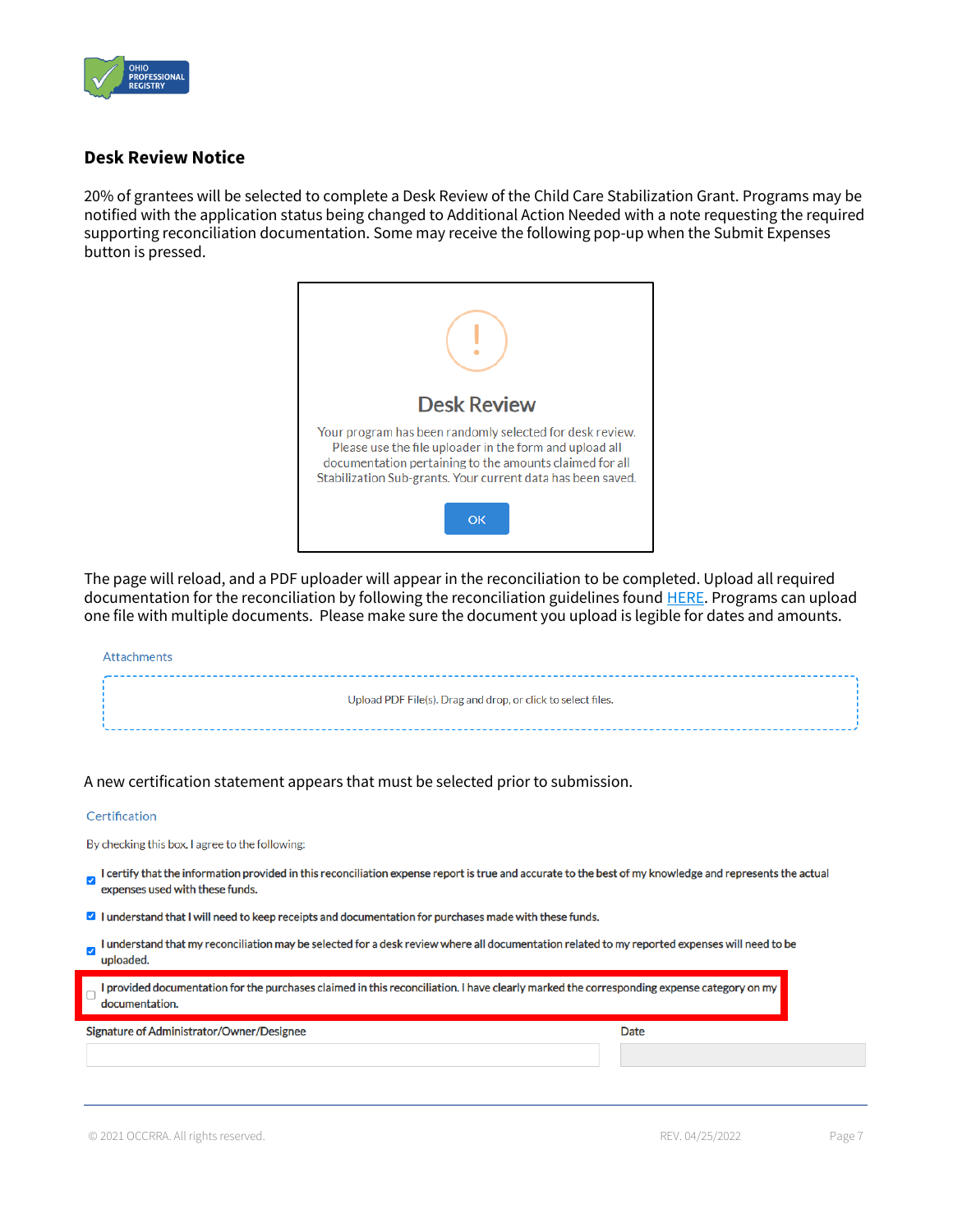

# **Desk Review Notice**

20% of grantees will be selected to complete a Desk Review of the Child Care Stabilization Grant. Programs may be notified with the application status being changed to Additional Action Needed with a note requesting the required supporting reconciliation documentation. Some may receive the following pop-up when the Submit Expenses button is pressed.



The page will reload, and a PDF uploader will appear in the reconciliation to be completed. Upload all required documentation for the reconciliation by following the reconciliation guidelines found **HERE**. Programs can upload one file with multiple documents. Please make sure the document you upload is legible for dates and amounts.

#### Attachments

| Upload PDF File(s). Drag and drop, or click to select files. |  |
|--------------------------------------------------------------|--|
|                                                              |  |
|                                                              |  |
|                                                              |  |
|                                                              |  |
|                                                              |  |

A new certification statement appears that must be selected prior to submission.

#### Certification

By checking this box, I agree to the following:

- I certify that the information provided in this reconciliation expense report is true and accurate to the best of my knowledge and represents the actual expenses used with these funds.
- I understand that I will need to keep receipts and documentation for purchases made with these funds.
- I understand that my reconciliation may be selected for a desk review where all documentation related to my reported expenses will need to be Z uploaded.

| I provided documentation for the purchases claimed in this reconciliation. I have clearly marked the corresponding expense category on my<br>documentation. |      |  |
|-------------------------------------------------------------------------------------------------------------------------------------------------------------|------|--|
| Signature of Administrator/Owner/Designee                                                                                                                   | Date |  |
|                                                                                                                                                             |      |  |